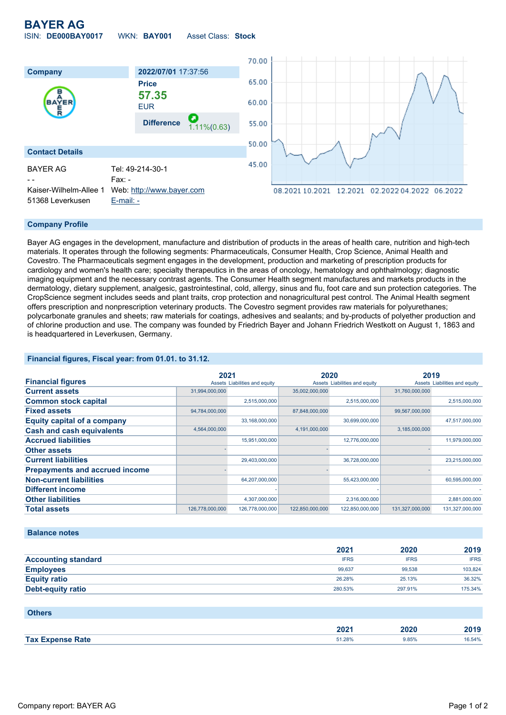**BAYER AG**

ISIN: **DE000BAY0017** WKN: **BAY001** Asset Class: **Stock**



#### **Company Profile**

Bayer AG engages in the development, manufacture and distribution of products in the areas of health care, nutrition and high-tech materials. It operates through the following segments: Pharmaceuticals, Consumer Health, Crop Science, Animal Health and Covestro. The Pharmaceuticals segment engages in the development, production and marketing of prescription products for cardiology and women's health care; specialty therapeutics in the areas of oncology, hematology and ophthalmology; diagnostic imaging equipment and the necessary contrast agents. The Consumer Health segment manufactures and markets products in the dermatology, dietary supplement, analgesic, gastrointestinal, cold, allergy, sinus and flu, foot care and sun protection categories. The CropScience segment includes seeds and plant traits, crop protection and nonagricultural pest control. The Animal Health segment offers prescription and nonprescription veterinary products. The Covestro segment provides raw materials for polyurethanes; polycarbonate granules and sheets; raw materials for coatings, adhesives and sealants; and by-products of polyether production and of chlorine production and use. The company was founded by Friedrich Bayer and Johann Friedrich Westkott on August 1, 1863 and is headquartered in Leverkusen, Germany.

### **Financial figures, Fiscal year: from 01.01. to 31.12.**

|                                       | 2021            |                               | 2020            |                               | 2019            |                               |
|---------------------------------------|-----------------|-------------------------------|-----------------|-------------------------------|-----------------|-------------------------------|
| <b>Financial figures</b>              |                 | Assets Liabilities and equity |                 | Assets Liabilities and equity |                 | Assets Liabilities and equity |
| <b>Current assets</b>                 | 31,994,000,000  |                               | 35,002,000,000  |                               | 31,760,000,000  |                               |
| <b>Common stock capital</b>           |                 | 2,515,000,000                 |                 | 2,515,000,000                 |                 | 2,515,000,000                 |
| <b>Fixed assets</b>                   | 94,784,000,000  |                               | 87,848,000,000  |                               | 99,567,000,000  |                               |
| <b>Equity capital of a company</b>    |                 | 33,168,000,000                |                 | 30,699,000,000                |                 | 47,517,000,000                |
| <b>Cash and cash equivalents</b>      | 4,564,000,000   |                               | 4,191,000,000   |                               | 3,185,000,000   |                               |
| <b>Accrued liabilities</b>            |                 | 15,951,000,000                |                 | 12,776,000,000                |                 | 11,979,000,000                |
| <b>Other assets</b>                   |                 |                               |                 |                               |                 |                               |
| <b>Current liabilities</b>            |                 | 29,403,000,000                |                 | 36,728,000,000                |                 | 23,215,000,000                |
| <b>Prepayments and accrued income</b> |                 |                               |                 |                               |                 |                               |
| <b>Non-current liabilities</b>        |                 | 64,207,000,000                |                 | 55,423,000,000                |                 | 60,595,000,000                |
| <b>Different income</b>               |                 |                               |                 |                               |                 |                               |
| <b>Other liabilities</b>              |                 | 4,307,000,000                 |                 | 2,316,000,000                 |                 | 2,881,000,000                 |
| <b>Total assets</b>                   | 126,778,000,000 | 126,778,000,000               | 122,850,000,000 | 122,850,000,000               | 131,327,000,000 | 131,327,000,000               |

### **Balance notes**

|                            | 2021        | 2020        | 2019        |
|----------------------------|-------------|-------------|-------------|
| <b>Accounting standard</b> | <b>IFRS</b> | <b>IFRS</b> | <b>IFRS</b> |
| <b>Employees</b>           | 99.637      | 99.538      | 103.824     |
| <b>Equity ratio</b>        | 26.28%      | 25.13%      | 36.32%      |
| Debt-equity ratio          | 280.53%     | 297.91%     | 175.34%     |

| <b>Others</b>           |        |       |        |
|-------------------------|--------|-------|--------|
|                         | 2021   | 2020  | 2019   |
| <b>Tax Expense Rate</b> | 51.28% | 9.85% | 16.54% |